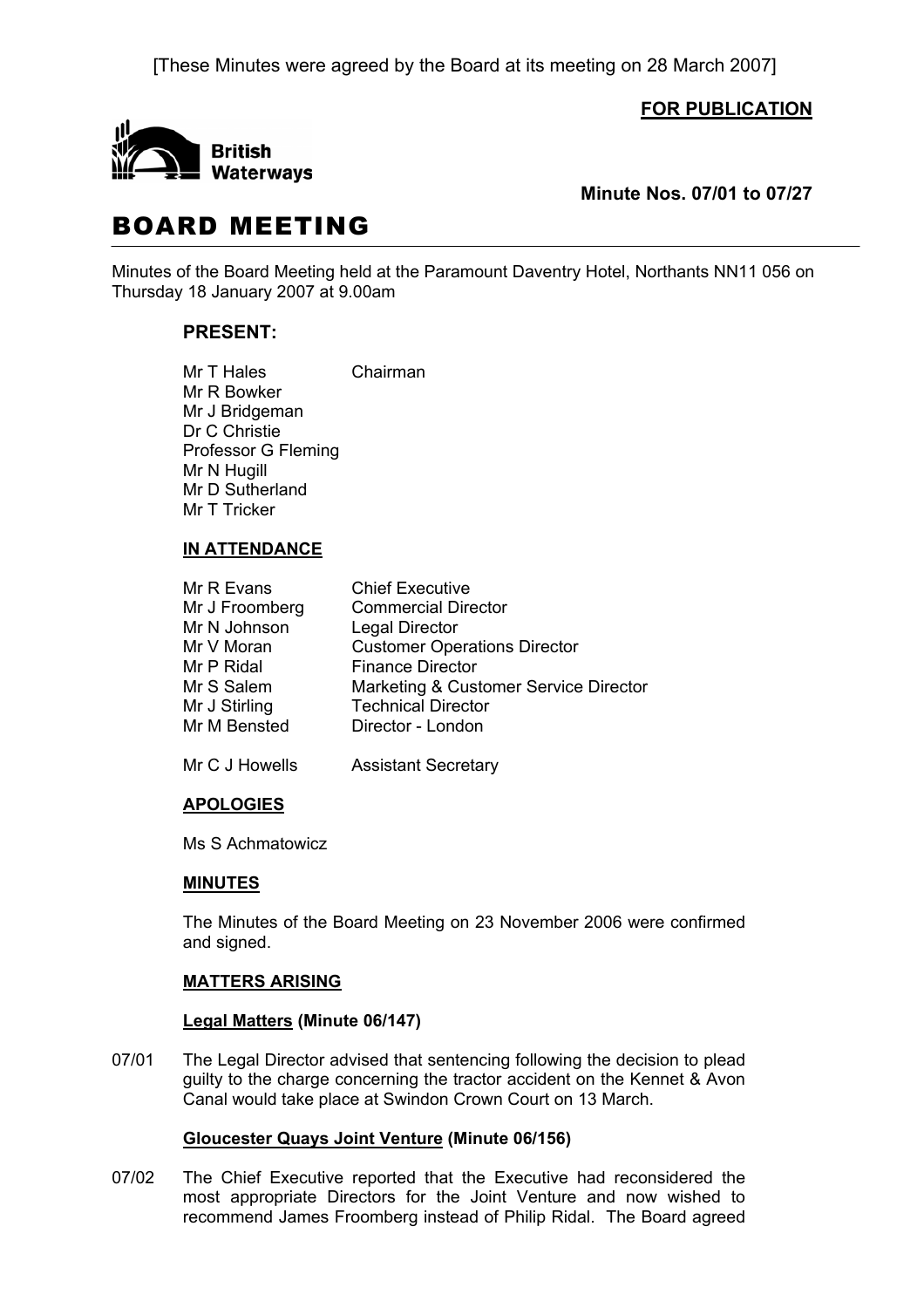[These Minutes were agreed by the Board at its meeting on 28 March 2007]

**FOR PUBLICATION**



**Minute Nos. 07/01 to 07/27** 

# BOARD MEETING

Minutes of the Board Meeting held at the Paramount Daventry Hotel, Northants NN11 056 on Thursday 18 January 2007 at 9.00am

# **PRESENT:**

Mr T Hales Chairman Mr R Bowker Mr J Bridgeman Dr C Christie Professor G Fleming Mr N Hugill Mr D Sutherland Mr T Tricker

# **IN ATTENDANCE**

| Mr R Evans     | <b>Chief Executive</b>                |
|----------------|---------------------------------------|
| Mr J Froomberg | <b>Commercial Director</b>            |
| Mr N Johnson   | <b>Legal Director</b>                 |
| Mr V Moran     | <b>Customer Operations Director</b>   |
| Mr P Ridal     | <b>Finance Director</b>               |
| Mr S Salem     | Marketing & Customer Service Director |
| Mr J Stirling  | <b>Technical Director</b>             |
| Mr M Bensted   | Director - London                     |
|                |                                       |

Mr C J Howells Assistant Secretary

# **APOLOGIES**

Ms S Achmatowicz

# **MINUTES**

 The Minutes of the Board Meeting on 23 November 2006 were confirmed and signed.

# **MATTERS ARISING**

# **Legal Matters (Minute 06/147)**

07/01 The Legal Director advised that sentencing following the decision to plead guilty to the charge concerning the tractor accident on the Kennet & Avon Canal would take place at Swindon Crown Court on 13 March.

# **Gloucester Quays Joint Venture (Minute 06/156)**

07/02 The Chief Executive reported that the Executive had reconsidered the most appropriate Directors for the Joint Venture and now wished to recommend James Froomberg instead of Philip Ridal. The Board agreed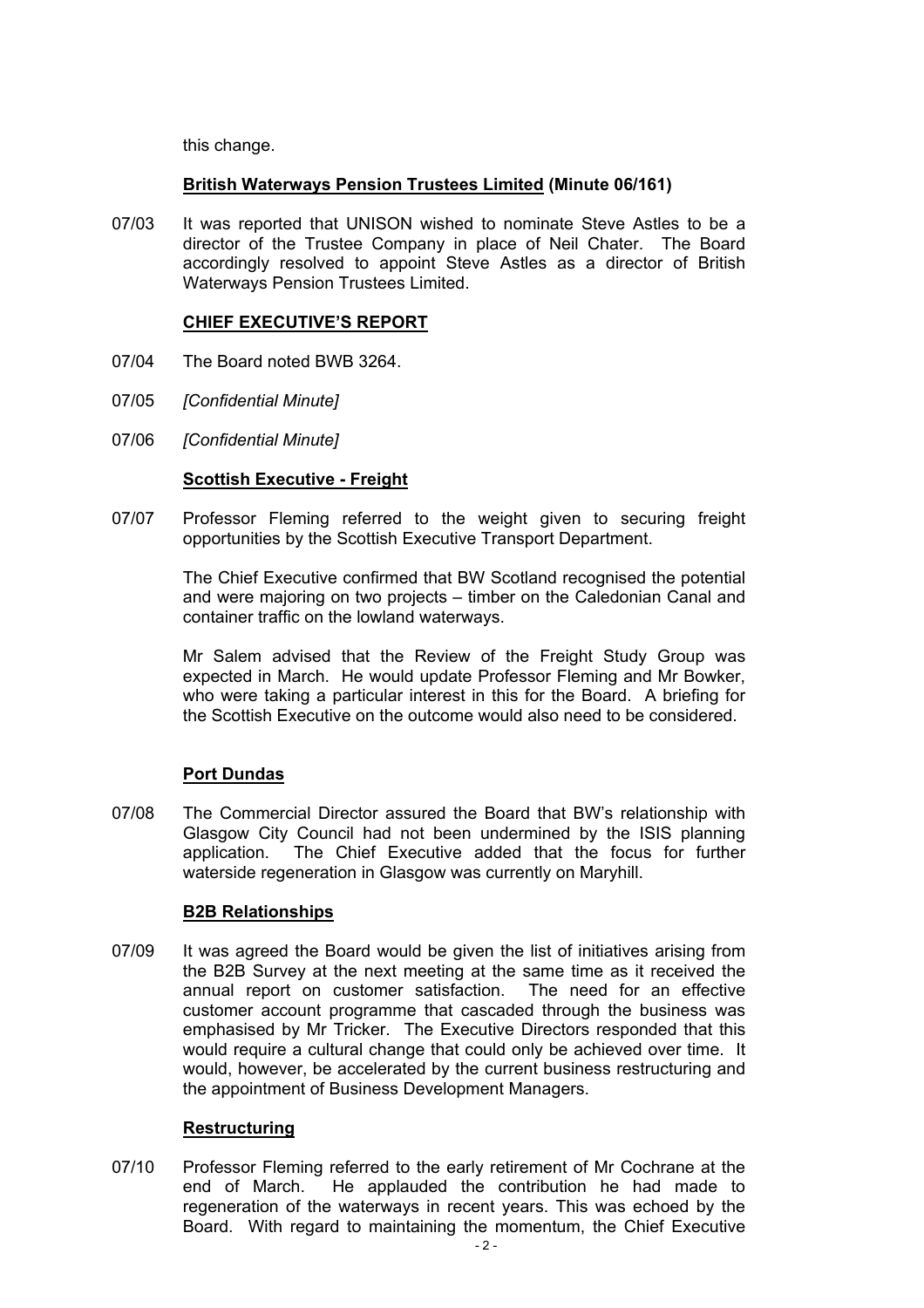this change.

## **British Waterways Pension Trustees Limited (Minute 06/161)**

07/03 It was reported that UNISON wished to nominate Steve Astles to be a director of the Trustee Company in place of Neil Chater. The Board accordingly resolved to appoint Steve Astles as a director of British Waterways Pension Trustees Limited.

#### **CHIEF EXECUTIVE'S REPORT**

- 07/04 The Board noted BWB 3264.
- 07/05 *[Confidential Minute]*
- 07/06 *[Confidential Minute]*

## **Scottish Executive - Freight**

07/07 Professor Fleming referred to the weight given to securing freight opportunities by the Scottish Executive Transport Department.

> The Chief Executive confirmed that BW Scotland recognised the potential and were majoring on two projects – timber on the Caledonian Canal and container traffic on the lowland waterways.

> Mr Salem advised that the Review of the Freight Study Group was expected in March. He would update Professor Fleming and Mr Bowker, who were taking a particular interest in this for the Board. A briefing for the Scottish Executive on the outcome would also need to be considered.

#### **Port Dundas**

07/08 The Commercial Director assured the Board that BW's relationship with Glasgow City Council had not been undermined by the ISIS planning application. The Chief Executive added that the focus for further waterside regeneration in Glasgow was currently on Maryhill.

# **B2B Relationships**

07/09 It was agreed the Board would be given the list of initiatives arising from the B2B Survey at the next meeting at the same time as it received the annual report on customer satisfaction. The need for an effective customer account programme that cascaded through the business was emphasised by Mr Tricker. The Executive Directors responded that this would require a cultural change that could only be achieved over time. It would, however, be accelerated by the current business restructuring and the appointment of Business Development Managers.

#### **Restructuring**

07/10 Professor Fleming referred to the early retirement of Mr Cochrane at the end of March. He applauded the contribution he had made to regeneration of the waterways in recent years. This was echoed by the Board. With regard to maintaining the momentum, the Chief Executive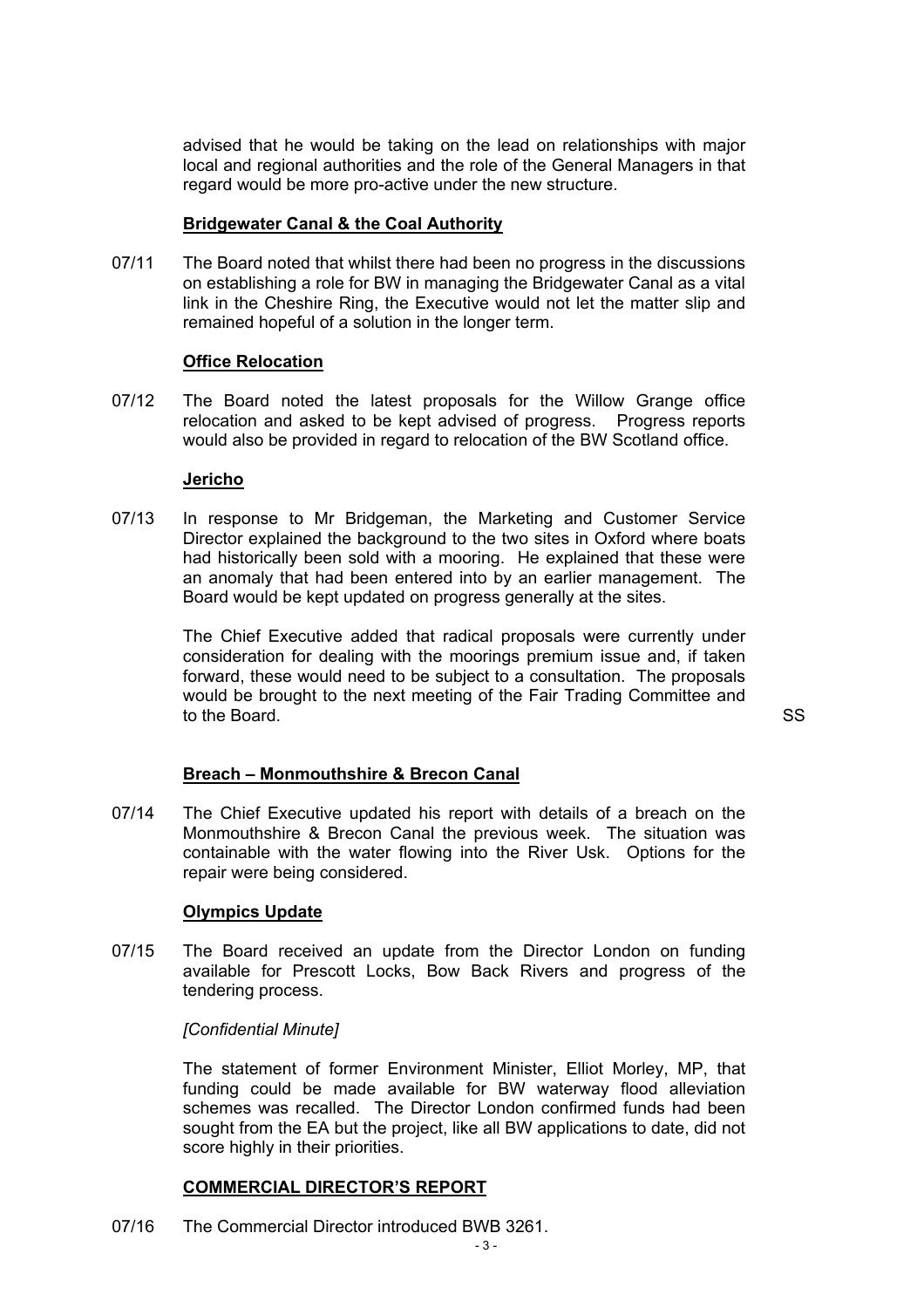advised that he would be taking on the lead on relationships with major local and regional authorities and the role of the General Managers in that regard would be more pro-active under the new structure.

#### **Bridgewater Canal & the Coal Authority**

07/11 The Board noted that whilst there had been no progress in the discussions on establishing a role for BW in managing the Bridgewater Canal as a vital link in the Cheshire Ring, the Executive would not let the matter slip and remained hopeful of a solution in the longer term.

#### **Office Relocation**

07/12 The Board noted the latest proposals for the Willow Grange office relocation and asked to be kept advised of progress. Progress reports would also be provided in regard to relocation of the BW Scotland office.

#### **Jericho**

07/13 In response to Mr Bridgeman, the Marketing and Customer Service Director explained the background to the two sites in Oxford where boats had historically been sold with a mooring. He explained that these were an anomaly that had been entered into by an earlier management. The Board would be kept updated on progress generally at the sites.

> The Chief Executive added that radical proposals were currently under consideration for dealing with the moorings premium issue and, if taken forward, these would need to be subject to a consultation. The proposals would be brought to the next meeting of the Fair Trading Committee and to the Board. SS

#### **Breach – Monmouthshire & Brecon Canal**

07/14 The Chief Executive updated his report with details of a breach on the Monmouthshire & Brecon Canal the previous week. The situation was containable with the water flowing into the River Usk. Options for the repair were being considered.

#### **Olympics Update**

07/15 The Board received an update from the Director London on funding available for Prescott Locks, Bow Back Rivers and progress of the tendering process.

#### *[Confidential Minute]*

 The statement of former Environment Minister, Elliot Morley, MP, that funding could be made available for BW waterway flood alleviation schemes was recalled. The Director London confirmed funds had been sought from the EA but the project, like all BW applications to date, did not score highly in their priorities.

#### **COMMERCIAL DIRECTOR'S REPORT**

07/16 The Commercial Director introduced BWB 3261.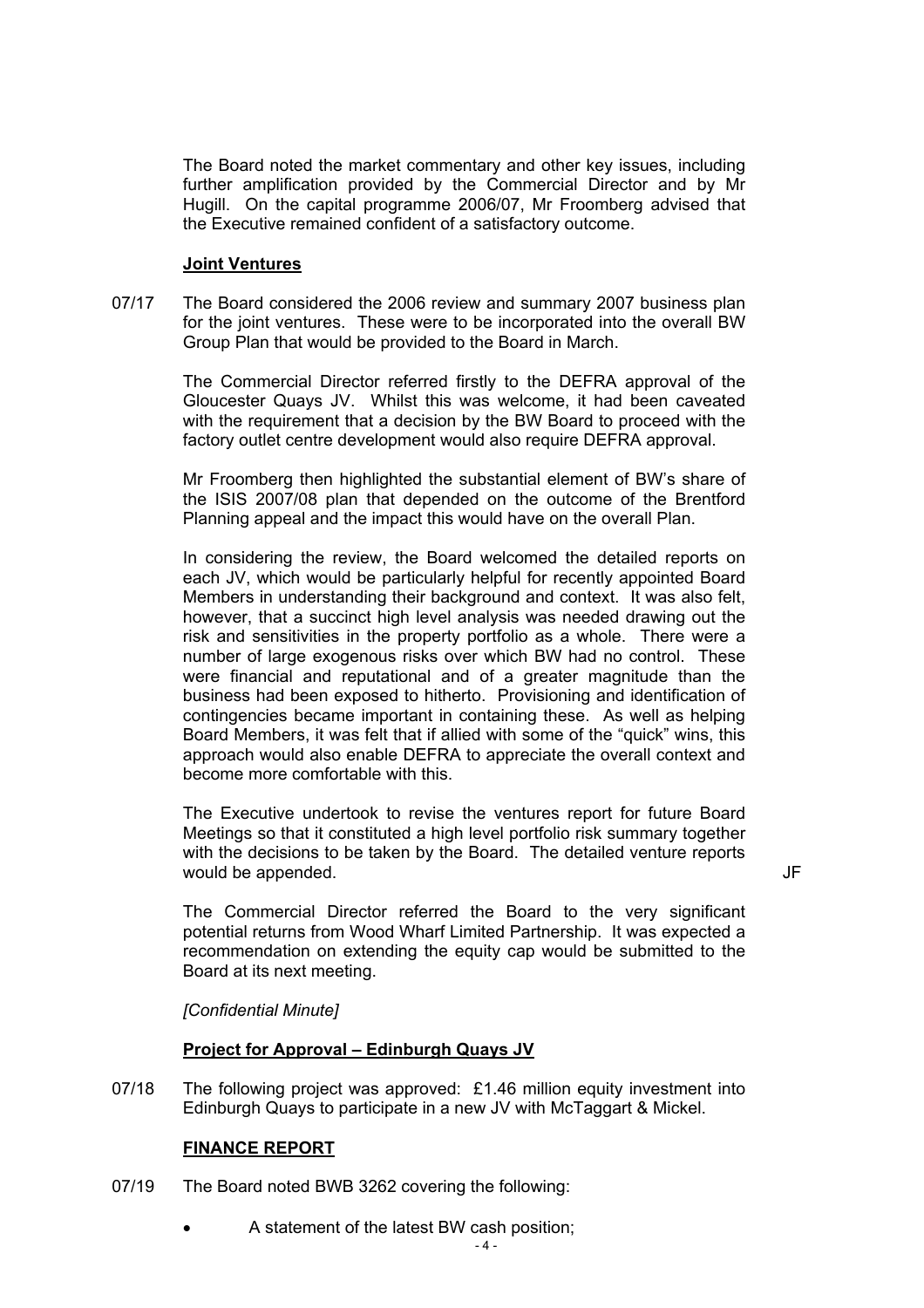The Board noted the market commentary and other key issues, including further amplification provided by the Commercial Director and by Mr Hugill. On the capital programme 2006/07, Mr Froomberg advised that the Executive remained confident of a satisfactory outcome.

## **Joint Ventures**

07/17 The Board considered the 2006 review and summary 2007 business plan for the joint ventures. These were to be incorporated into the overall BW Group Plan that would be provided to the Board in March.

> The Commercial Director referred firstly to the DEFRA approval of the Gloucester Quays JV. Whilst this was welcome, it had been caveated with the requirement that a decision by the BW Board to proceed with the factory outlet centre development would also require DEFRA approval.

> Mr Froomberg then highlighted the substantial element of BW's share of the ISIS 2007/08 plan that depended on the outcome of the Brentford Planning appeal and the impact this would have on the overall Plan.

> In considering the review, the Board welcomed the detailed reports on each JV, which would be particularly helpful for recently appointed Board Members in understanding their background and context. It was also felt, however, that a succinct high level analysis was needed drawing out the risk and sensitivities in the property portfolio as a whole. There were a number of large exogenous risks over which BW had no control. These were financial and reputational and of a greater magnitude than the business had been exposed to hitherto. Provisioning and identification of contingencies became important in containing these. As well as helping Board Members, it was felt that if allied with some of the "quick" wins, this approach would also enable DEFRA to appreciate the overall context and become more comfortable with this.

 The Executive undertook to revise the ventures report for future Board Meetings so that it constituted a high level portfolio risk summary together with the decisions to be taken by the Board. The detailed venture reports would be appended. The set of the set of the set of the set of the set of the set of the set of the set of the set of the set of the set of the set of the set of the set of the set of the set of the set of the set of the s

 The Commercial Director referred the Board to the very significant potential returns from Wood Wharf Limited Partnership. It was expected a recommendation on extending the equity cap would be submitted to the Board at its next meeting.

*[Confidential Minute]* 

#### **Project for Approval – Edinburgh Quays JV**

07/18 The following project was approved: £1.46 million equity investment into Edinburgh Quays to participate in a new JV with McTaggart & Mickel.

# **FINANCE REPORT**

- 07/19 The Board noted BWB 3262 covering the following:
	- A statement of the latest BW cash position;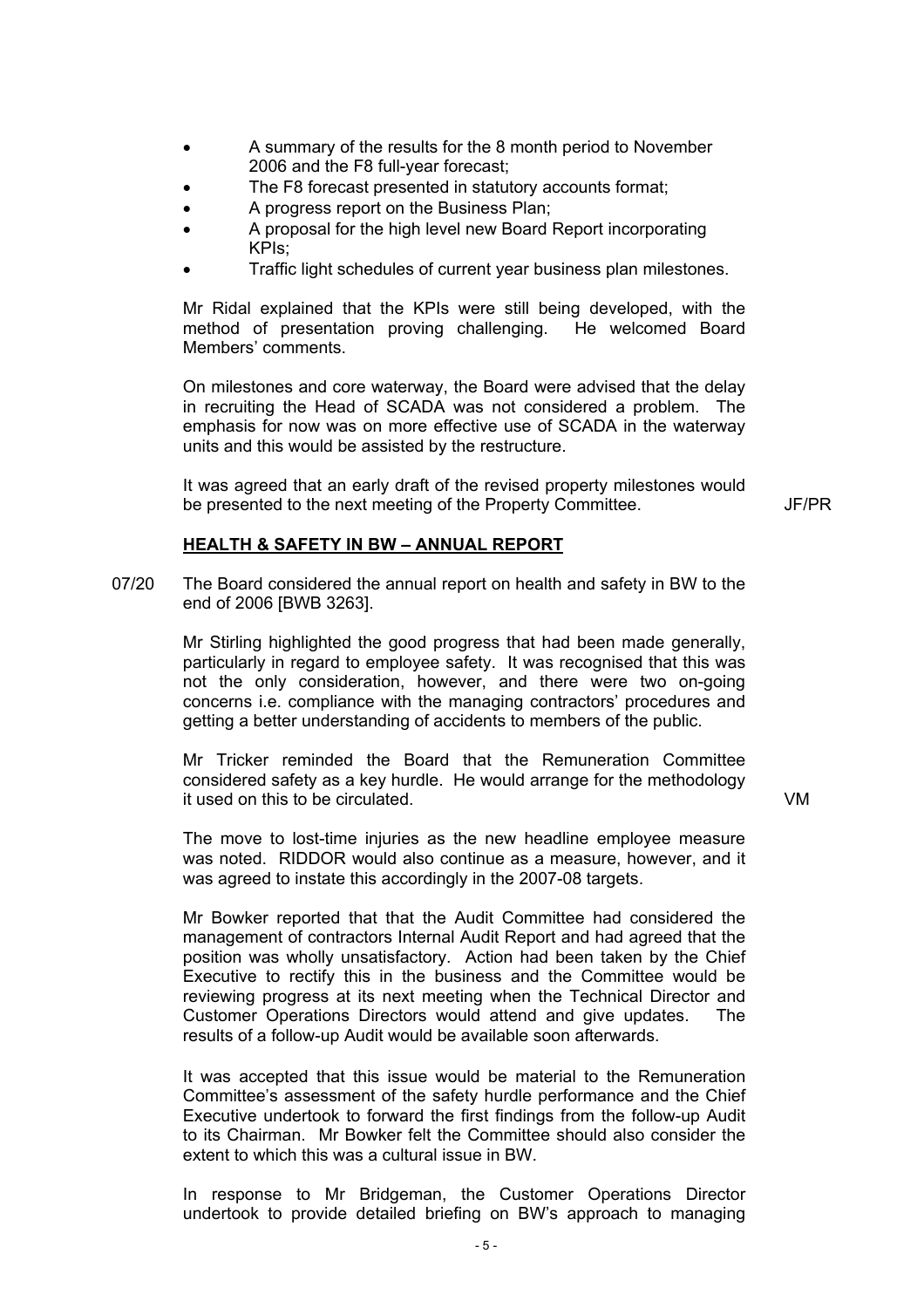- A summary of the results for the 8 month period to November 2006 and the F8 full-year forecast;
- The F8 forecast presented in statutory accounts format;
- A progress report on the Business Plan;
- A proposal for the high level new Board Report incorporating KPIs;
- Traffic light schedules of current year business plan milestones.

 Mr Ridal explained that the KPIs were still being developed, with the method of presentation proving challenging. He welcomed Board Members' comments.

 On milestones and core waterway, the Board were advised that the delay in recruiting the Head of SCADA was not considered a problem. The emphasis for now was on more effective use of SCADA in the waterway units and this would be assisted by the restructure.

 It was agreed that an early draft of the revised property milestones would be presented to the next meeting of the Property Committee. JF/PR

#### **HEALTH & SAFETY IN BW – ANNUAL REPORT**

07/20 The Board considered the annual report on health and safety in BW to the end of 2006 [BWB 3263].

> Mr Stirling highlighted the good progress that had been made generally, particularly in regard to employee safety. It was recognised that this was not the only consideration, however, and there were two on-going concerns i.e. compliance with the managing contractors' procedures and getting a better understanding of accidents to members of the public.

 Mr Tricker reminded the Board that the Remuneration Committee considered safety as a key hurdle. He would arrange for the methodology it used on this to be circulated. VM

 The move to lost-time injuries as the new headline employee measure was noted. RIDDOR would also continue as a measure, however, and it was agreed to instate this accordingly in the 2007-08 targets.

 Mr Bowker reported that that the Audit Committee had considered the management of contractors Internal Audit Report and had agreed that the position was wholly unsatisfactory. Action had been taken by the Chief Executive to rectify this in the business and the Committee would be reviewing progress at its next meeting when the Technical Director and Customer Operations Directors would attend and give updates. The results of a follow-up Audit would be available soon afterwards.

 It was accepted that this issue would be material to the Remuneration Committee's assessment of the safety hurdle performance and the Chief Executive undertook to forward the first findings from the follow-up Audit to its Chairman. Mr Bowker felt the Committee should also consider the extent to which this was a cultural issue in BW.

 In response to Mr Bridgeman, the Customer Operations Director undertook to provide detailed briefing on BW's approach to managing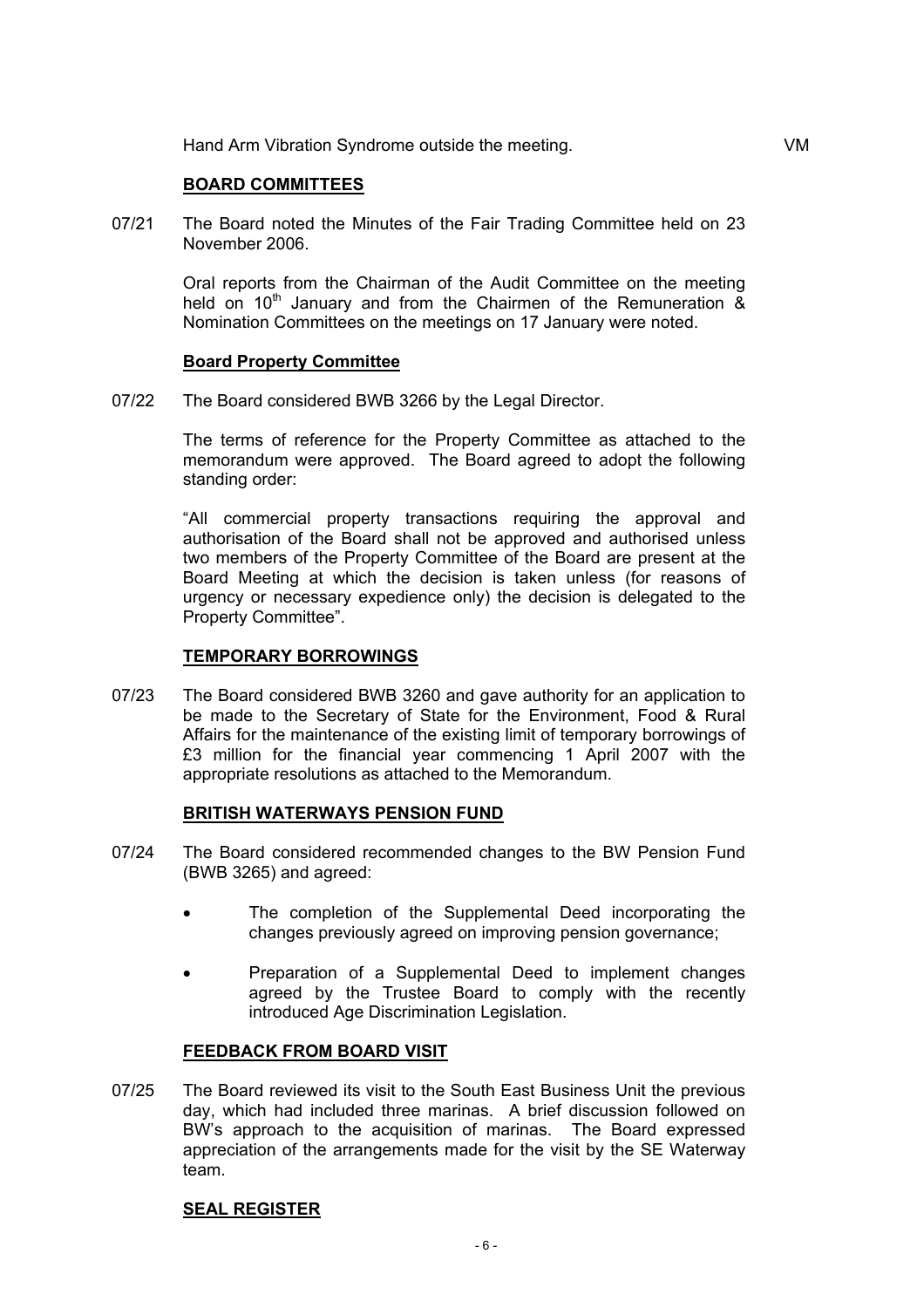#### **BOARD COMMITTEES**

07/21 The Board noted the Minutes of the Fair Trading Committee held on 23 November 2006.

> Oral reports from the Chairman of the Audit Committee on the meeting held on 10<sup>th</sup> January and from the Chairmen of the Remuneration  $\&$ Nomination Committees on the meetings on 17 January were noted.

#### **Board Property Committee**

07/22 The Board considered BWB 3266 by the Legal Director.

 The terms of reference for the Property Committee as attached to the memorandum were approved. The Board agreed to adopt the following standing order:

 "All commercial property transactions requiring the approval and authorisation of the Board shall not be approved and authorised unless two members of the Property Committee of the Board are present at the Board Meeting at which the decision is taken unless (for reasons of urgency or necessary expedience only) the decision is delegated to the Property Committee".

#### **TEMPORARY BORROWINGS**

07/23 The Board considered BWB 3260 and gave authority for an application to be made to the Secretary of State for the Environment, Food & Rural Affairs for the maintenance of the existing limit of temporary borrowings of £3 million for the financial year commencing 1 April 2007 with the appropriate resolutions as attached to the Memorandum.

#### **BRITISH WATERWAYS PENSION FUND**

- 07/24 The Board considered recommended changes to the BW Pension Fund (BWB 3265) and agreed:
	- The completion of the Supplemental Deed incorporating the changes previously agreed on improving pension governance;
	- Preparation of a Supplemental Deed to implement changes agreed by the Trustee Board to comply with the recently introduced Age Discrimination Legislation.

#### **FEEDBACK FROM BOARD VISIT**

07/25 The Board reviewed its visit to the South East Business Unit the previous day, which had included three marinas. A brief discussion followed on BW's approach to the acquisition of marinas. The Board expressed appreciation of the arrangements made for the visit by the SE Waterway team.

#### **SEAL REGISTER**